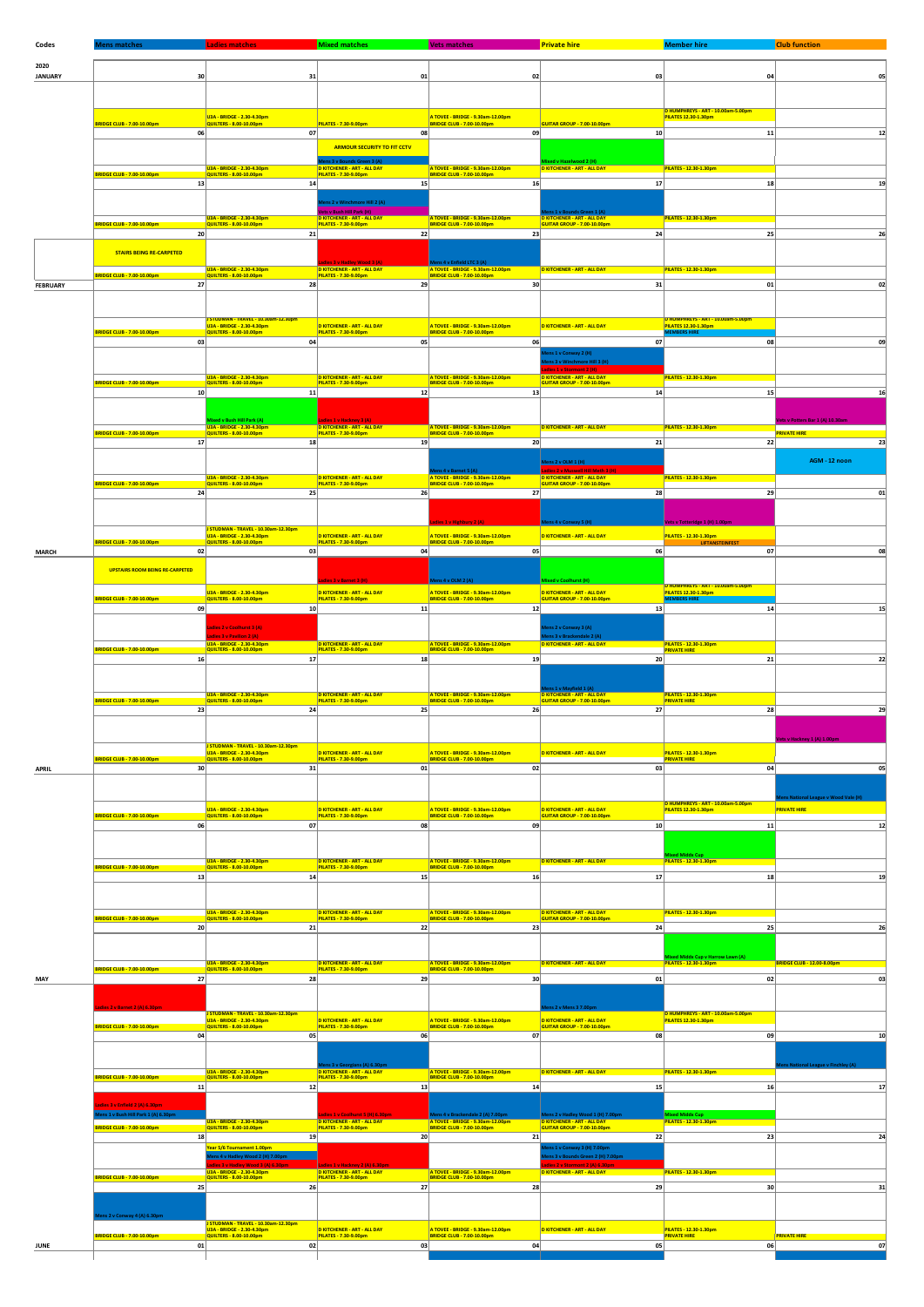| Codes           | Viens matches                                                    | adies matches.                                                                    | <b>Mixed matches</b>                                                                     | <b>Vets matches</b>                                                    | <b>Private hire</b>                                                                         | <b>Member hire</b>                                                | <b>Club function</b>                                  |
|-----------------|------------------------------------------------------------------|-----------------------------------------------------------------------------------|------------------------------------------------------------------------------------------|------------------------------------------------------------------------|---------------------------------------------------------------------------------------------|-------------------------------------------------------------------|-------------------------------------------------------|
| 2020            |                                                                  |                                                                                   |                                                                                          |                                                                        |                                                                                             |                                                                   |                                                       |
| <b>JANUARY</b>  | 30                                                               | 31                                                                                | 01                                                                                       | 02                                                                     | 03                                                                                          | 04                                                                | 05                                                    |
|                 |                                                                  |                                                                                   |                                                                                          |                                                                        |                                                                                             |                                                                   |                                                       |
|                 |                                                                  |                                                                                   |                                                                                          |                                                                        |                                                                                             |                                                                   |                                                       |
|                 |                                                                  | U3A - BRIDGE - 2.30-4.30pm                                                        |                                                                                          | A TOVEE - BRIDGE - 9.30am-12.00pm                                      |                                                                                             | D HUMPHREYS - ART - 10.00am-5.00pm<br><b>PILATES 12.30-1.30pm</b> |                                                       |
|                 | BRIDGE CLUB - 7.00-10.00pm<br>06                                 | QUILTERS - 8.00-10.00pm<br>07                                                     | PILATES - 7.30-9.00pm<br>08                                                              | <b>BRIDGE CLUB - 7.00-10.00pm</b><br>09                                | GUITAR GROUP - 7.00-10.00pm<br>10                                                           | 11                                                                | 12                                                    |
|                 |                                                                  |                                                                                   | <b>ARMOUR SECURITY TO FIT CCTV</b>                                                       |                                                                        |                                                                                             |                                                                   |                                                       |
|                 |                                                                  |                                                                                   | ns 3 v Bounds Green 3 (A)                                                                |                                                                        | d v Ha<br>id 2 (H)                                                                          |                                                                   |                                                       |
|                 | <b>BRIDGE CLUB - 7.00-10.00pm</b>                                | U3A - BRIDGE - 2.30-4.30pm<br>QUILTERS - 8.00-10.00pm                             | D KITCHENER - ART - ALL DAY<br>PILATES - 7.30-9.00pm                                     | A TOVEE - BRIDGE - 9.30am-12.00pm                                      | <b>D KITCHENER - ART - ALL DAY</b>                                                          | PILATES - 12.30-1.30pm                                            |                                                       |
|                 | 13                                                               | 14                                                                                | 15                                                                                       | 16                                                                     | 17                                                                                          | 18                                                                | 19                                                    |
|                 |                                                                  |                                                                                   | lens 2 v Winchmore Hill 2 (A)                                                            |                                                                        |                                                                                             |                                                                   |                                                       |
|                 |                                                                  | 1134 - BRIDGE - 2.30-4.30pm                                                       | <mark>ets v Bush Hill Park (H)</mark> .<br><b>D KITCHENER - ART - ALL DAY</b>            | A TOVEE - BRIDGE - 9.30am-12.00pm                                      | ns 1 v Bounds Green 1 (A)<br><b>D KITCHENER - ART - ALL DAY</b>                             | PILATES - 12.30-1.30pm                                            |                                                       |
|                 | RIDGE CLUB - 7.00-10.00pm<br>20                                  | QUILTERS - 8.00-10.00pm<br>21                                                     | PILATES - 7.30-9.00pm<br>22                                                              | BRIDGE CLUB - 7.00-10.00pm<br>23                                       | GUITAR GROUP - 7.00-10.00pm<br>24                                                           | 25                                                                | 26                                                    |
|                 |                                                                  |                                                                                   |                                                                                          |                                                                        |                                                                                             |                                                                   |                                                       |
|                 | <b>STAIRS BEING RE-CARPETED</b>                                  |                                                                                   |                                                                                          | ns 4 v Enfield LTC 3 (A)                                               |                                                                                             |                                                                   |                                                       |
|                 | RIDGE CLUB - 7.00-10.00pm                                        | U3A - BRIDGE - 2.30-4.30pm<br>QUILTERS - 8.00-10.00pm                             | Ladies 3 v Hadley Wood 3 (A)<br>D KITCHENER - ART - ALL DAY<br>PILATES - 7.30-9.00pm     | A TOVEE - BRIDGE - 9.30am-12.00pm                                      | <b>D KITCHENER - ART - ALL DAY</b>                                                          | PILATES - 12.30-1.30pm                                            |                                                       |
| <b>FEBRUARY</b> | 27                                                               | 28                                                                                | 29                                                                                       | 30                                                                     | 31                                                                                          | 01                                                                | 02                                                    |
|                 |                                                                  |                                                                                   |                                                                                          |                                                                        |                                                                                             |                                                                   |                                                       |
|                 |                                                                  | STUDMAN - TRAVEL - 10.30am-12.30pm                                                |                                                                                          |                                                                        |                                                                                             | D HUMPHREYS - ART - 10.00am-5.00pm                                |                                                       |
|                 | <b>BRIDGE CLUB - 7.00-10.00pm</b>                                | U3A - BRIDGE - 2.30-4.30pm<br><b>QUILTERS - 8.00-10.00pm</b>                      | <b>D KITCHENER - ART - ALL DAY</b><br>PILATES - 7.30-9.00pm                              | A TOVEE - BRIDGE - 9.30am-12.00pm                                      | <b>D KITCHENER - ART - ALL DAY</b>                                                          | PILATES 12.30-1.30pm                                              |                                                       |
|                 | 03                                                               | 04                                                                                | 05                                                                                       | 06                                                                     | 07                                                                                          | 08                                                                | 09                                                    |
|                 |                                                                  |                                                                                   |                                                                                          |                                                                        | ens 1 v Conway 2 (H)<br>ns 3 v Winchmore Hill 3 (H)                                         |                                                                   |                                                       |
|                 |                                                                  |                                                                                   |                                                                                          |                                                                        |                                                                                             |                                                                   |                                                       |
|                 | RIDGE CLUB - 7.00-10.00pm                                        | U3A - BRIDGE - 2.30-4.30pm<br>QUILTERS - 8.00-10.00pm                             | <b>D KITCHENER - ART - ALL DAY</b><br>PILATES - 7.30-9.00pm                              | A TOVEE - BRIDGE - 9.30am-12.00pm                                      | D KITCHENER - ART - ALL DAY<br>GUITAR GROUP - 7.00-10.00pm                                  | PILATES - 12.30-1.30pm                                            |                                                       |
|                 | 10                                                               | 11                                                                                | 12                                                                                       | 13                                                                     | 14                                                                                          | 15                                                                | 16                                                    |
|                 |                                                                  |                                                                                   |                                                                                          |                                                                        |                                                                                             |                                                                   |                                                       |
|                 | RIDGE CLUB - 7.00-10.00pm                                        | xed v Bush Hill Park (A)<br>U3A - BRIDGE - 2.30-4.30pm<br>QUILTERS - 8.00-10.00pm | 1 v Hackney 3 (A)<br><b>D KITCHENER - ART - ALL DAY</b>                                  | A TOVEE - BRIDGE - 9.30am-12.00pm                                      | <b>D KITCHENER - ART - ALL DAY</b>                                                          | PILATES - 12.30-1.30pm                                            | ts v Potters Bar 1 (A) 10.30am<br><b>PRIVATE HIRE</b> |
|                 | 17                                                               | 18                                                                                | PILATES - 7.30-9.00pm<br>19                                                              | <b>BRIDGE CLUB - 7.00-10.00pm</b><br>20                                | 21                                                                                          | 22                                                                | 23                                                    |
|                 |                                                                  |                                                                                   |                                                                                          |                                                                        |                                                                                             |                                                                   | AGM - 12 noon                                         |
|                 |                                                                  |                                                                                   |                                                                                          | s 4 v Barnet 5 (A)                                                     | Mens 2 v OLM 1 (H)<br>adies 2 v Muswell Hill Meth 3 (H)                                     |                                                                   |                                                       |
|                 | <b>BRIDGE CLUB - 7.00-10.00pm</b>                                | U3A - BRIDGE - 2.30-4.30pm<br>QUILTERS - 8.00-10.00pm                             | <b>D KITCHENER - ART - ALL DAY</b><br>PILATES - 7.30-9.00pm                              | A TOVEE - BRIDGE - 9.30am-12.00pm                                      | D KITCHENER - ART - ALL DAY<br>GUITAR GROUP - 7.00-10.00pm                                  | PILATES - 12.30-1.30pm                                            |                                                       |
|                 | 24                                                               | 25                                                                                | 26                                                                                       | 27                                                                     | 28                                                                                          | 29                                                                | 01                                                    |
|                 |                                                                  |                                                                                   |                                                                                          |                                                                        |                                                                                             |                                                                   |                                                       |
|                 |                                                                  | STUDMAN - TRAVEL - 10.30am-12.30pm                                                |                                                                                          | es 1 v Highbury 2 (A)                                                  |                                                                                             | ts v Totteridge 1 (H) 1.00pm                                      |                                                       |
|                 | <b>BRIDGE CLUB - 7.00-10.00pm</b>                                | U3A - BRIDGE - 2.30-4.30pm<br>QUILTERS - 8.00-10.00pm                             | D KITCHENER - ART - ALL DAY<br>PILATES - 7.30-9.00pm                                     | A TOVEE - BRIDGE - 9.30am-12.00pm<br><b>BRIDGE CLUB - 7.00-10.00pm</b> | <b>D KITCHENER - ART - ALL DAY</b>                                                          | PILATES - 12.30-1.30pm<br>LIFTANSTEINFEST                         |                                                       |
| <b>MARCH</b>    | 02                                                               | 03                                                                                | 04                                                                                       | 05                                                                     | 06                                                                                          | 07                                                                | 08                                                    |
|                 | <b>UPSTAIRS ROOM BEING RE-CARPETED</b>                           |                                                                                   |                                                                                          |                                                                        |                                                                                             |                                                                   |                                                       |
|                 |                                                                  |                                                                                   | lies 3 v Barnet 3 (H)                                                                    | ns 4 v OLM 2 (A)                                                       | ced v Coolhurst (H)                                                                         | D HUMPHREYS - ART - 10.00am-5.00pm                                |                                                       |
|                 | RIDGE CLUB - 7.00-10.00pm                                        | U3A - BRIDGE - 2.30-4.30pm<br>QUILTERS - 8.00-10.00pm                             | <b>D KITCHENER - ART - ALL DAY</b><br>PILATES - 7.30-9.00pm                              | A TOVEE - BRIDGE - 9.30am-12.00pm<br>BRIDGE CLUB - 7.00-10.00pm        | <b>D KITCHENER - ART - ALL DAY</b><br>GUITAR GROUP - 7.00-10.00pm                           | PILATES 12.30-1.30pm                                              |                                                       |
|                 | 09                                                               | 10                                                                                | 11                                                                                       | 12                                                                     | 13                                                                                          | 14                                                                | 15                                                    |
|                 |                                                                  | dies 2 v Coolhurst 3 (A)                                                          |                                                                                          |                                                                        | ens 2 v Conway 3 (A)                                                                        |                                                                   |                                                       |
|                 |                                                                  | ies 3 v Pavilion 2 (A)<br>U3A - BRIDGE - 2.30-4.30pm                              | <b>D KITCHENER - ART - ALL DAY</b>                                                       |                                                                        | ens 3 v Bracke<br>lale 2 (A)<br>D KITCHENER - ART - ALL DAY                                 | PILATES - 12.30-1.30pm                                            |                                                       |
|                 | <b>BRIDGE CLUB - 7.00-10.00pm</b>                                | <b>QUILTERS - 8.00-10.00pm</b>                                                    | PILATES - 7.30-9.00pm                                                                    | A TOVEE - BRIDGE - 9.30am-12.00pm                                      |                                                                                             | <b>PRIVATE HIRE</b>                                               |                                                       |
|                 | 16                                                               | 17                                                                                | 18                                                                                       | 19                                                                     | 20                                                                                          | 21                                                                | 22                                                    |
|                 |                                                                  |                                                                                   |                                                                                          |                                                                        |                                                                                             |                                                                   |                                                       |
|                 | <b>BRIDGE CLUB - 7.00-10.00pm</b>                                | U3A - BRIDGE - 2.30-4.30pm<br>QUILTERS - 8.00-10.00pm                             | D KITCHENER - ART - ALL DAY                                                              | A TOVEE - BRIDGE - 9.30am-12.00pm                                      | ns 1 v Mayfield 1 (A)<br><b>D KITCHENER - ART - ALL DAY<br/>GUITAR GROUP - 7.00-10.00pm</b> | PILATES - 12.30-1.30pm<br><b>PRIVATE HIRE</b>                     |                                                       |
|                 | 23                                                               | 24                                                                                | 25                                                                                       | 26                                                                     | 27                                                                                          | 28                                                                |                                                       |
|                 |                                                                  |                                                                                   |                                                                                          |                                                                        |                                                                                             |                                                                   |                                                       |
|                 |                                                                  |                                                                                   |                                                                                          |                                                                        |                                                                                             |                                                                   |                                                       |
|                 |                                                                  | J STUDMAN - TRAVEL - 10.30am-12.30pm<br>U3A - BRIDGE - 2.30-4.30pm                | <b>D KITCHENER - ART - ALL DAY</b>                                                       | A TOVEE - BRIDGE - 9.30am-12.00pm                                      | <b>D KITCHENER - ART - ALL DAY</b>                                                          | PILATES - 12.30-1.30pm                                            |                                                       |
| APRIL           | 8RIDGE CLUB - 7.00-10.00pm<br>30                                 | QUILTERS - 8.00-10.00pm<br>31                                                     | PILATES - 7.30-9.00pm<br>01                                                              | <b>BRIDGE CLUB - 7.00-10.00pm</b><br>02                                | 03                                                                                          | <b>PRIVATE HIRE</b><br>04                                         | 05                                                    |
|                 |                                                                  |                                                                                   |                                                                                          |                                                                        |                                                                                             |                                                                   |                                                       |
|                 |                                                                  |                                                                                   |                                                                                          |                                                                        |                                                                                             |                                                                   |                                                       |
|                 | <b>BRIDGE CLUB - 7.00-10.00pm</b>                                | U3A - BRIDGE - 2.30-4.30pm<br>QUILTERS - 8.00-10.00pm                             | <b>D KITCHENER - ART - ALL DAY</b><br>PILATES - 7.30-9.00pm                              | A TOVEE - BRIDGE - 9.30am-12.00pm<br>BRIDGE CLUB - 7.00-10.00pm        | <b>D KITCHENER - ART - ALL DAY</b><br>GUITAR GROUP - 7.00-10.00pm                           | D HUMPHREYS - ART - 10.00am-5.00pm<br>PILATES 12.30-1.30pm        | <b>PRIVATE HIRE</b>                                   |
|                 | 06                                                               | 07                                                                                | 08                                                                                       | 09                                                                     | 10                                                                                          | 11                                                                | $12$                                                  |
|                 |                                                                  |                                                                                   |                                                                                          |                                                                        |                                                                                             |                                                                   |                                                       |
|                 |                                                                  |                                                                                   |                                                                                          |                                                                        |                                                                                             | d Middx Cup                                                       |                                                       |
|                 | <b>BRIDGE CLUB - 7.00-10.00pm</b>                                | U3A - BRIDGE - 2.30-4.30pm<br>QUILTERS - 8.00-10.00pm                             | D KITCHENER - ART - ALL DAY<br>PILATES - 7.30-9.00pm                                     | A TOVEE - BRIDGE - 9.30am-12.00pm                                      | D KITCHENER - ART - ALL DAY                                                                 | PILATES - 12.30-1.30pm                                            |                                                       |
|                 | 13                                                               | 14                                                                                | 15                                                                                       | 16                                                                     | 17                                                                                          | 18                                                                | 19                                                    |
|                 |                                                                  |                                                                                   |                                                                                          |                                                                        |                                                                                             |                                                                   |                                                       |
|                 |                                                                  | U3A - BRIDGE - 2.30-4.30pm                                                        | <b>D KITCHENER - ART - ALL DAY</b>                                                       | A TOVEE - BRIDGE - 9.30am-12.00pm                                      | <b>D KITCHENER - ART - ALL DAY</b>                                                          | PILATES - 12.30-1.30pm                                            |                                                       |
|                 | RIDGE CLUB - 7.00-10.00pm<br>20                                  | QUILTERS - 8.00-10.00pm<br>21                                                     | PILATES - 7.30-9.00pm<br>22                                                              | <b>BRIDGE CLUB - 7.00-10.00pm</b><br>23                                | GUITAR GROUP - 7.00-10.00pm<br>24                                                           | 25                                                                | 26                                                    |
|                 |                                                                  |                                                                                   |                                                                                          |                                                                        |                                                                                             |                                                                   |                                                       |
|                 |                                                                  |                                                                                   |                                                                                          |                                                                        |                                                                                             | ed Middx Cup v Harrow La                                          |                                                       |
|                 | RIDGE CLUB - 7.00-10.00pm                                        | U3A - BRIDGE - 2.30-4.30pm<br>QUILTERS - 8.00-10.00pm                             | <b>D KITCHENER - ART - ALL DAY</b><br>PILATES - 7.30-9.00pm                              | A TOVEE - BRIDGE - 9.30am-12.00pm<br>BRIDGE CLUB - 7.00-10.00pm        | <b>D KITCHENER - ART - ALL DAY</b>                                                          | PILATES - 12.30-1.30pm                                            | <b>BRIDGE CLUB - 12.00-8.00pm</b>                     |
| MAY             | 27                                                               | 28                                                                                | 29                                                                                       | 30 <sub>2</sub>                                                        | 01                                                                                          | 02                                                                | 03                                                    |
|                 |                                                                  |                                                                                   |                                                                                          |                                                                        |                                                                                             |                                                                   |                                                       |
|                 | s 2 v Barnet 2 (A) 6.30om                                        | STUDMAN - TRAVEL - 10.30am-12.30pm                                                |                                                                                          |                                                                        | 2 v Mens 3 7.00                                                                             | D HUMPHREYS - ART - 10.00am-5.00pm                                |                                                       |
|                 | <b>BRIDGE CLUB - 7.00-10.00pm</b>                                | U3A - BRIDGE - 2.30-4.30pm<br>QUILTERS - 8.00-10.00pm                             | D KITCHENER - ART - ALL DAY<br>PILATES - 7.30-9.00pm                                     | A TOVEE - BRIDGE - 9.30am-12.00pm<br><b>BRIDGE CLUB - 7.00-10.00pm</b> | <b>D KITCHENER - ART - ALL DAY</b><br>GUITAR GROUP - 7.00-10.00pm                           | <b>PILATES 12.30-1.30pm</b>                                       |                                                       |
|                 | 04                                                               | 05                                                                                | 06                                                                                       | 07                                                                     | 08                                                                                          | 09                                                                | 10                                                    |
|                 |                                                                  |                                                                                   |                                                                                          |                                                                        |                                                                                             |                                                                   |                                                       |
|                 |                                                                  | U3A - BRIDGE - 2.30-4.30pm                                                        | ns 3 v Georgians (A) 6.30pm<br>I <mark>TCHENER - ART - ALL DAY</mark>                    | A TOVEE - BRIDGE - 9.30am-12.00pm                                      | <b>D KITCHENER - ART - ALL DAY</b>                                                          | <b>ILATES - 12.30-1.30pm</b>                                      |                                                       |
|                 | <b>BRIDGE CLUB - 7.00-10.00pm</b><br>11                          | QUILTERS - 8.00-10.00pm<br>12                                                     | PILATES - 7.30-9.00pm<br>13                                                              | <b>BRIDGE CLUB - 7.00-10.00pm</b><br>14                                | 15                                                                                          | 16                                                                | 17                                                    |
|                 |                                                                  |                                                                                   |                                                                                          |                                                                        |                                                                                             |                                                                   |                                                       |
|                 | s 3 v Enfield 2 (A) 6.30pr<br>s<br>1 v Bush Hill Park 1 (A) 6.30 |                                                                                   |                                                                                          | is 4 v Brackendale 2 (A) 7.00pm                                        | Mens 2 v Hadley Wood 1 (H) 7.00                                                             | lixed Middx Cup                                                   |                                                       |
|                 | RIDGE CLUB - 7.00-10.00pm                                        | U3A - BRIDGE - 2.30-4.30pm<br>QUILTERS - 8.00-10.00pm                             | Ladies 1 v Coolhurst 5 (H) 6.30;<br>D KITCHENER - ART - ALL DAY<br>PILATES - 7.30-9.00pm | <b>A TOVEE - BRIDGE</b><br><b>BRIDGE CLUB - 7.00-10.00pm</b>           | <b>DK</b><br><b>ENER - ART - ALL DAY</b><br>GUITAR GROUP - 7.00-10.00pm                     | PILATES - 12.30-1.30pm                                            |                                                       |
|                 | 18                                                               | 19                                                                                | 20                                                                                       | 21                                                                     | 22                                                                                          | 23                                                                | 24                                                    |
|                 |                                                                  | Year 5/6 Tournament 1.00pm<br>ns 4 v Hadley Wood 2 (H) 7.00pn                     |                                                                                          |                                                                        | ts 1 v Conway 3 (H) 7.00pm<br>ns 3 v Bounds Green 2 (H) 7.00p                               |                                                                   |                                                       |
|                 |                                                                  | dies 3 v Hadley Wood 3 (A) 6.30p<br>U3A - BRIDGE - 2.30-4.30pm                    | s 1 v Hackney 2 (A) 6.30p<br><b>D KITCHENER - ART - ALL DAY</b>                          | A TOVEE - BRIDGE - 9.30am-12.00pm                                      | lies 2 v Stormont 2 (A) 6.30<br>D KITCHENER - ART - ALL DAY                                 | PILATES - 12.30-1.30pm                                            |                                                       |
|                 | RIDGE CLUB - 7.00-10.00pm<br>25                                  | QUILTERS - 8.00-10.00pm<br>26                                                     | PILATES - 7.30-9.00pm<br>27                                                              | <b>BRIDGE CLUB - 7.00-10.00pm</b><br>28                                | 29                                                                                          | 30                                                                | 31                                                    |
|                 |                                                                  |                                                                                   |                                                                                          |                                                                        |                                                                                             |                                                                   |                                                       |
|                 | ns 2 v Conway 4 (A) 6.30p                                        |                                                                                   |                                                                                          |                                                                        |                                                                                             |                                                                   |                                                       |
|                 |                                                                  | STUDMAN - TRAVEL - 10.30am-12.30pm<br>U3A - BRIDGE - 2.30-4.30pm                  | D KITCHENER - ART - ALL DAY                                                              |                                                                        | <b>D KITCHENER - ART - ALL DAY</b>                                                          | PILATES - 12.30-1.30pm                                            |                                                       |
| JUNE            | <b>BRIDGE CLUB - 7.00-10.00pm</b><br>01                          | <b>QUILTERS - 8.00-10.00pm</b><br>02                                              | PILATES - 7.30-9.00pm<br>03                                                              | A TOVEE - BRIDGE - 9.30am-12.00pm<br>BRIDGE CLUB - 7.00-10.00pm<br>04  | 05                                                                                          | <b>PRIVATE HIRE</b><br>06                                         | <b>PRIVATE HIRE</b><br>07                             |
|                 |                                                                  |                                                                                   |                                                                                          |                                                                        |                                                                                             |                                                                   |                                                       |
|                 |                                                                  |                                                                                   |                                                                                          |                                                                        |                                                                                             |                                                                   |                                                       |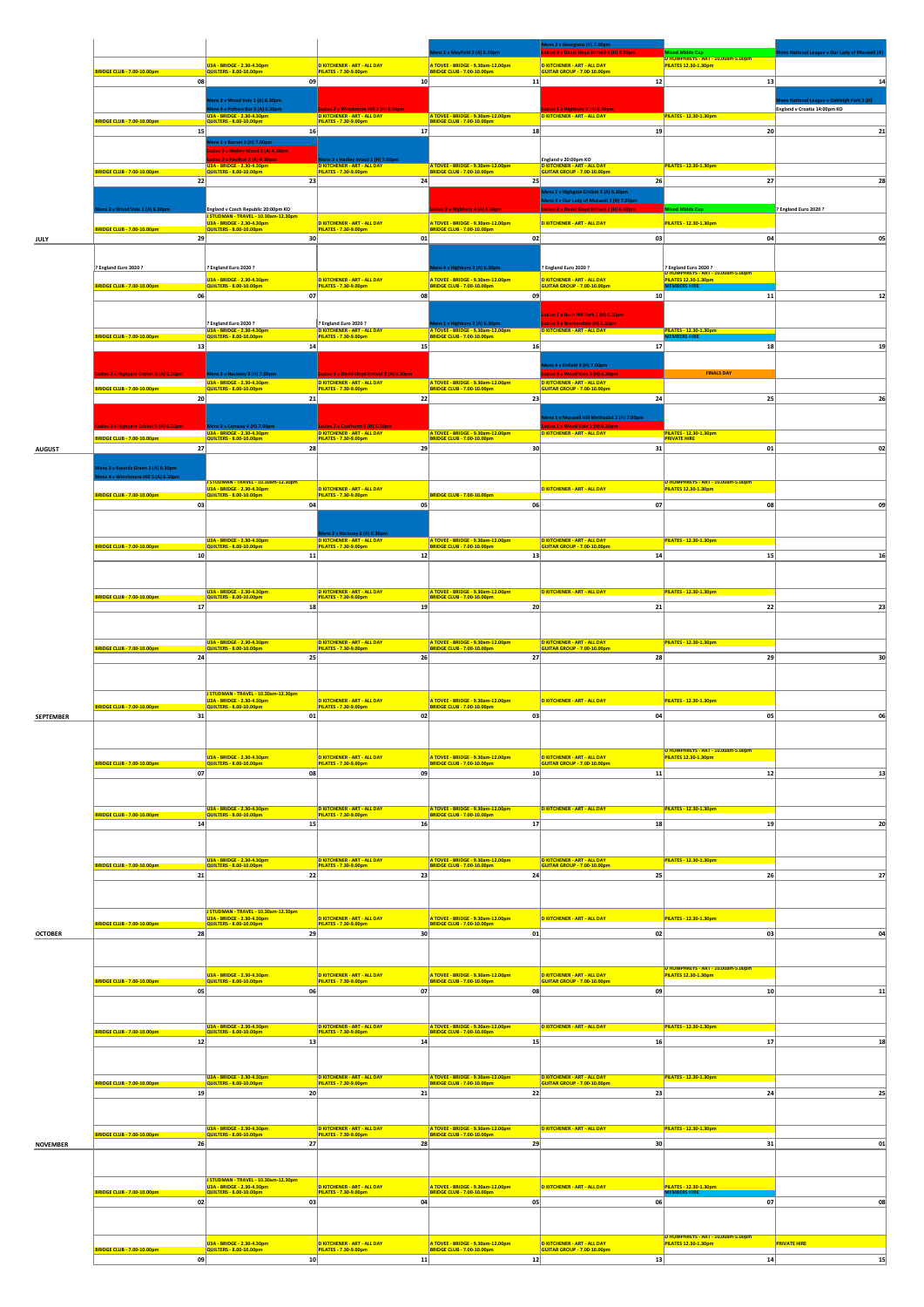|                  |                                                |                                                                                                  |                                                                                                    |                                                                                                        | Mens 2 v Georgians (H) 7.00pm                                                                       |                                                                               |                                          |
|------------------|------------------------------------------------|--------------------------------------------------------------------------------------------------|----------------------------------------------------------------------------------------------------|--------------------------------------------------------------------------------------------------------|-----------------------------------------------------------------------------------------------------|-------------------------------------------------------------------------------|------------------------------------------|
|                  |                                                | U3A - BRIDGE - 2.30-4.30pm                                                                       | <b>D KITCHENER - ART - ALL DAY</b>                                                                 | A TOVEE - BRIDGE - 9.30am-12.00pm                                                                      | lies 3 v David Lloyd Enfield 4 (H) 6.30)<br>D KITCHENER - ART - ALL DAY                             | Mixed Middx Cup<br>D HUMPHREYS - ART - 10.00am-5.00pm<br>PILATES 12.30-1.30pm | ue v Our Lady of Mu                      |
|                  | BRIDGE CLUB - 7.00-10.00pm<br>08               | QUILTERS - 8.00-10.00pm<br>09                                                                    | PILATES - 7.30-9.00pm<br>10                                                                        | BRIDGE CLUB - 7.00-10.00pm<br>11                                                                       | GUITAR GROUP - 7.00-10.00pm<br>12                                                                   | 13                                                                            | 14                                       |
|                  |                                                | ens 3 v Wood Vale 1 (A) 6.30pm                                                                   |                                                                                                    |                                                                                                        |                                                                                                     |                                                                               | ns National League v Oakleigh Park 2 (H) |
|                  |                                                | ns 4 v Potters Bar 5 (A) 6.3<br>0-4.30pm                                                         | re Hill 2 (H) 6.30pr<br>D KITCHENER - ART - ALL DAY                                                | A TOVEE - BRIDGE - 9.30am-12.00pm                                                                      | Highbury 2 (H) 6.30<br><b>D KITCHENER - ART - ALL DAY</b>                                           | PILATES - 12.30-1.30pm                                                        | England v Croatia 14:00pm KO             |
|                  | <b>BRIDGE CLUB - 7.00-10.00pm</b><br>15        | <b>QUILTERS - 8.00-10.00pm</b><br>16                                                             | PILATES - 7.30-9.00pm<br>17                                                                        | <b>BRIDGE CLUB - 7.00-10.00pm</b><br>18                                                                | 19                                                                                                  | 20                                                                            | 21                                       |
|                  |                                                | ens 1 v Barnet 3 (H) 7.00pm<br>lies 1 v Hadley Wood 1 (A) 6.30pm                                 |                                                                                                    |                                                                                                        |                                                                                                     |                                                                               |                                          |
|                  |                                                | U3A - BRIDGE - 2.30-4.30pm                                                                       | adley Wood 1 (H) 7.0<br>D KITCHENER - ART - ALL DAY                                                | A TOVEE - BRIDGE - 9.30am-12.00pm                                                                      | England v 20:00pm KO<br>D KITCHENER - ART - ALL DAY<br>GUITAR GROUP - 7.00-10.00pm                  | PILATES - 12.30-1.30pm                                                        |                                          |
|                  | BRIDGE CLUB - 7.00-10.00pm<br>22               | QUILTERS - 8.00-10.00pm<br>23                                                                    | PILATES - 7.30-9.00pm<br>24                                                                        | BRIDGE CLUB - 7.00-10.00pm<br>25                                                                       | 26                                                                                                  | 27                                                                            | 28                                       |
|                  |                                                |                                                                                                  |                                                                                                    |                                                                                                        | ens 1 v Highgate Cricket 3 (A) 6.30pn<br><b>Hens 4 v Our Lady of Muswell 3 (H) 7.00pm</b>           |                                                                               |                                          |
|                  | s 2 v Wood Vale 1 (A) 6.30p                    | England v Czech Republic 20:00pm KO<br>STUDMAN - TRAVEL - 10.30am-12.30pm                        |                                                                                                    | 3 v Highbury 4 (A) 6.30pm                                                                              | Lloyd Enfield 2 (H)                                                                                 | iddx Cup                                                                      | ? England Euro 2020 ?                    |
|                  | <b>BRIDGE CLUB - 7.00-10.00pm</b>              | U3A - BRIDGE - 2.30-4.30pm<br>QUILTERS - 8.00-10.00pm                                            | <b>D KITCHENER - ART - ALL DAY</b><br>PILATES - 7.30-9.00pm                                        | A TOVEE - BRIDGE - 9.30am-12.00pm<br><b>BRIDGE CLUB - 7.00-10.00pm</b>                                 | D KITCHENER - ART - ALL DAY                                                                         | PILATES - 12.30-1.30pm                                                        |                                          |
| JULY             | 29                                             | 30                                                                                               | 01                                                                                                 | 02                                                                                                     | 03                                                                                                  | 04                                                                            | 05                                       |
|                  | P England Euro 2020?                           | ? England Euro 2020 ?                                                                            |                                                                                                    |                                                                                                        | ? England Euro 2020 ?                                                                               | ? England Euro 2020 ?                                                         |                                          |
|                  | BRIDGE CLUB - 7.00-10.00pm                     | U3A - BRIDGE - 2.30-4.30pm<br>QUILTERS - 8.00-10.00pm                                            | <b>D KITCHENER - ART - ALL DAY</b><br>PILATES - 7.30-9.00pm                                        | A TOVEE - BRIDGE - 9.30am-12.00pm<br>BRIDGE CLUB - 7.00-10.00pm                                        | <b>D KITCHENER - ART - ALL DAY</b><br>GUITAR GROUP - 7.00-10.00pm                                   | D HUMPHREYS - ART - 10.00am-5.00pm<br>PILATES 12.30-1.30pm                    |                                          |
|                  | 06                                             | 07                                                                                               | 08                                                                                                 | 09                                                                                                     | 10                                                                                                  | 11                                                                            | $12$                                     |
|                  |                                                |                                                                                                  |                                                                                                    |                                                                                                        | adies 1 v Bush Hill Park 1 (H) 6.30pm                                                               |                                                                               |                                          |
|                  | <b>BRIDGE CLUB - 7.00-10.00pm</b>              | ? England Euro 2020 ?<br>U3A - BRIDGE - 2.30-4.30pm<br>QUILTERS - 8.00-10.00pm                   | ? England Euro 2020 ?<br><b>D KITCHENER - ART - ALL DAY</b><br>PILATES - 7.30-9.00pm               | ns 1 v Highbury 2 (A) 6.30pr<br>A TOVEE - BRIDGE - 9.30am-12.00pm<br><b>BRIDGE CLUB - 7.00-10.00pm</b> | <mark>D KITCHENER - ART - ALL DAY</mark>                                                            | PILATES - 12.30-1.30pm<br><b>MEMBERS HIRE</b>                                 |                                          |
|                  | 13                                             | 14                                                                                               | 15                                                                                                 | 16                                                                                                     | 17                                                                                                  | 18                                                                            | 19                                       |
|                  |                                                |                                                                                                  |                                                                                                    |                                                                                                        | lens 4 v Enfield 3 (H) 7.00pm                                                                       |                                                                               |                                          |
|                  | 3 (A) 6.3<br><b>BRIDGE CLUB - 7.00-10.00pm</b> | U3A - BRIDGE - 2.30-4.30pm<br>QUILTERS - 8.00-10.00pm                                            | 1 v David Lloyd Enfield 2 (A) 6.30p<br><b>D KITCHENER - ART - ALL DAY</b><br>PILATES - 7.30-9.00pm | A TOVEE - BRIDGE - 9.30am-12.00pm<br>BRIDGE CLUB - 7.00-10.00pm                                        | ies 3 v Wood Vale 3 (H) 6.30pr<br><b>D KITCHENER - ART - ALL DAY</b><br>GUITAR GROUP - 7.00-10.00pm | <b>FINALS DAY</b>                                                             |                                          |
|                  | 20                                             | 21                                                                                               | 22                                                                                                 | 23                                                                                                     | 24                                                                                                  | 25                                                                            | 26                                       |
|                  |                                                |                                                                                                  |                                                                                                    |                                                                                                        | ens 1 v Muswell Hill Methodist 2 (H) 7.00pm                                                         |                                                                               |                                          |
|                  | 8RIDGE CLUB - 7.00-10.00pm                     | ns 3 v Conway 4 (H) 7.00 <mark>r</mark><br>U3A - BRIDGE - 2.30-4.30pm<br>QUILTERS - 8.00-10.00pm | 2 v Coolhurst 6 (H) 6.30p<br><b>D KITCHENER - ART - ALL DAY</b><br>PILATES - 7.30-9.00pm           | A TOVEE - BRIDGE - 9.30am-12.00pm<br><b>BRIDGE CLUB - 7.00-10.00pm</b>                                 | lies 1 v Wood Vale 1 (H) 6.30;<br><b>D KITCHENER - ART - ALL DAY</b>                                | PILATES - 12.30-1.30pm<br><b>PRIVATE HIRE</b>                                 |                                          |
| <b>AUGUST</b>    | 27                                             | 28                                                                                               | 29                                                                                                 | 30                                                                                                     | 31                                                                                                  | 01                                                                            | 02                                       |
|                  | ns 2 v Bounds Green 2 (A) 6.30pm               |                                                                                                  |                                                                                                    |                                                                                                        |                                                                                                     |                                                                               |                                          |
|                  | ns 4 v Winchmore Hill 5 (A) 6.30p              | STUDMAN - TRAVEL - 10.30am-12.30pm<br>U3A - BRIDGE - 2.30-4.30pm                                 | <b>D KITCHENER - ART - ALL DAY</b>                                                                 |                                                                                                        | D KITCHENER - ART - ALL DAY                                                                         | D HUMPHREYS - ART - 10.00am-5.00pm<br>PILATES 12.30-1.30pm                    |                                          |
|                  | 8RIDGE CLUB - 7.00-10.00pm<br>03               | QUILTERS - 8.00-10.00pm<br>04                                                                    | PILATES - 7.30-9.00pm<br>05                                                                        | <b>BRIDGE CLUB - 7.00-10.00pm</b><br>06                                                                | 07                                                                                                  | 08                                                                            | 09                                       |
|                  |                                                |                                                                                                  |                                                                                                    |                                                                                                        |                                                                                                     |                                                                               |                                          |
|                  |                                                | U3A - BRIDGE - 2.30-4.30pm                                                                       | as 3 v Hackney 3 (A) 6.30pr<br><b>D KITCHENER - ART - ALL DAY</b>                                  | A TOVEE - BRIDGE - 9.30am-12.00pm                                                                      | <b>D KITCHENER - ART - ALL DAY</b>                                                                  | PILATES - 12.30-1.30pm                                                        |                                          |
|                  | BRIDGE CLUB - 7.00-10.00pm<br>10               | 2UILTERS - 8.00-10.00pm<br>11                                                                    | PILATES - 7.30-9.00pm<br>12                                                                        | <b>BRIDGE CLUB - 7.00-10.00pm</b><br>13                                                                | GUITAR GROUP - 7.00-10.00pm<br>14                                                                   | 15                                                                            | 16                                       |
|                  |                                                |                                                                                                  |                                                                                                    |                                                                                                        |                                                                                                     |                                                                               |                                          |
|                  |                                                | U3A - BRIDGE - 2.30-4.30pm                                                                       | <b>D KITCHENER - ART - ALL DAY</b>                                                                 | A TOVEE - BRIDGE - 9.30am-12.00pm                                                                      | <b>D KITCHENER - ART - ALL DAY</b>                                                                  | PILATES - 12.30-1.30pm                                                        |                                          |
|                  | BRIDGE CLUB - 7.00-10.00pm<br>17               | QUILTERS - 8.00-10.00pm<br>18                                                                    | PILATES - 7.30-9.00pm<br>19                                                                        | <b>BRIDGE CLUB - 7.00-10.00pm</b><br>20                                                                | 21                                                                                                  | 22                                                                            | 23                                       |
|                  |                                                |                                                                                                  |                                                                                                    |                                                                                                        |                                                                                                     |                                                                               |                                          |
|                  |                                                | U3A - BRIDGE - 2.30-4.30pm                                                                       | <b>D KITCHENER - ART - ALL DAY</b>                                                                 | A TOVEE - BRIDGE - 9.30am-12.00pm                                                                      | <b>D KITCHENER - ART - ALL DAY</b>                                                                  | PILATES - 12.30-1.30pm                                                        |                                          |
|                  | <b>BRIDGE CLUB - 7.00-10.00pm</b><br>24        | <b>QUILTERS - 8.00-10.00pm</b><br>25                                                             | PILATES - 7.30-9.00pm<br>26                                                                        | <b>BRIDGE CLUB - 7.00-10.00pm</b><br>27                                                                | GUITAR GROUP - 7.00-10.00pm<br>28                                                                   | 29                                                                            | 30                                       |
|                  |                                                |                                                                                                  |                                                                                                    |                                                                                                        |                                                                                                     |                                                                               |                                          |
|                  |                                                | STUDMAN - TRAVEL - 10.30am-12.30pm                                                               |                                                                                                    |                                                                                                        |                                                                                                     |                                                                               |                                          |
|                  | <b>BRIDGE CLUB - 7.00-10.00pm</b>              | J3A - BRIDGE - 2.30-4.30pm<br><b>QUILTERS - 8.00-10.00pm</b>                                     | D KITCHENER - ART - ALL DAY<br>PILATES - 7.30-9.00pm                                               | 1 TOVEE - BRIDGE - 9.30am-12.00pm<br><b>BRIDGE CLUB - 7.00-10.00pm</b>                                 | D KITCHENER - ART - ALL DAY                                                                         | PILATES - 12.30-1.30pm                                                        |                                          |
| <b>SEPTEMBER</b> | 31                                             | 01                                                                                               | 02                                                                                                 | 03                                                                                                     | 04                                                                                                  | 05                                                                            | 06                                       |
|                  |                                                |                                                                                                  |                                                                                                    |                                                                                                        |                                                                                                     |                                                                               |                                          |
|                  | <b>BRIDGE CLUB - 7.00-10.00pm</b>              | U3A - BRIDGE - 2.30-4.30pm<br>QUILTERS - 8.00-10.00pm                                            | <b>D KITCHENER - ART - ALL DAY</b><br>PILATES - 7.30-9.00pm                                        | A TOVEE - BRIDGE - 9.30am-12.00pm<br><b>BRIDGE CLUB - 7.00-10.00pm</b>                                 | <b>D KITCHENER - ART - ALL DAY</b><br>GUITAR GROUP - 7.00-10.00pm                                   | D HUMPHREYS - ART - 10.00am-5.00pm<br><b>PILATES 12.30-1.30pm</b>             |                                          |
|                  | 07                                             | 08                                                                                               | 09                                                                                                 | 10 <sup>1</sup>                                                                                        | 11                                                                                                  | 12                                                                            | 13                                       |
|                  |                                                |                                                                                                  |                                                                                                    |                                                                                                        |                                                                                                     |                                                                               |                                          |
|                  | <b>BRIDGE CLUB - 7.00-10.00pm</b>              | U3A - BRIDGE - 2.30-4.30pm<br>QUILTERS - 8.00-10.00pm                                            | D KITCHENER - ART - ALL DAY<br>PILATES - 7.30-9.00pm                                               | A TOVEE - BRIDGE - 9.30am-12.00pm<br>BRIDGE CLUB - 7.00-10.00pm                                        | D KITCHENER - ART - ALL DAY                                                                         | PILATES - 12.30-1.30pm                                                        |                                          |
|                  | 14                                             | 15                                                                                               | 16                                                                                                 | 17                                                                                                     | 18                                                                                                  | 19                                                                            | 20                                       |
|                  |                                                |                                                                                                  |                                                                                                    |                                                                                                        |                                                                                                     |                                                                               |                                          |
|                  | <b>BRIDGE CLUB - 7.00-10.00pm</b>              | U3A - BRIDGE - 2.30-4.30pm<br>QUILTERS - 8.00-10.00pm                                            | <b>D KITCHENER - ART - ALL DAY</b><br>PILATES - 7.30-9.00pm                                        | A TOVEE - BRIDGE - 9.30am-12.00pm<br>BRIDGE CLUB - 7.00-10.00pm                                        | <b>D KITCHENER - ART - ALL DAY</b><br>GUITAR GROUP - 7.00-10.00pm                                   | PILATES - 12.30-1.30pm                                                        |                                          |
|                  | 21                                             | 22                                                                                               | 23                                                                                                 | 24                                                                                                     | 25                                                                                                  | 26                                                                            | 27                                       |
|                  |                                                |                                                                                                  |                                                                                                    |                                                                                                        |                                                                                                     |                                                                               |                                          |
|                  |                                                | STUDMAN - TRAVEL - 10.30am-12.30pm<br>U3A - BRIDGE - 2.30-4.30pm                                 | <b>D KITCHENER - ART - ALL DAY</b>                                                                 | A TOVEE - BRIDGE - 9.30am-12.00pm                                                                      | <b>D KITCHENER - ART - ALL DAY</b>                                                                  | PILATES - 12.30-1.30pm                                                        |                                          |
| <b>OCTOBER</b>   | <b>BRIDGE CLUB - 7.00-10.00pm</b><br>28        | QUILTERS - 8.00-10.00pm<br>29                                                                    | PILATES - 7.30-9.00pm<br>30                                                                        | BRIDGE CLUB - 7.00-10.00pm<br>01                                                                       | 02                                                                                                  | 03                                                                            | 04                                       |
|                  |                                                |                                                                                                  |                                                                                                    |                                                                                                        |                                                                                                     |                                                                               |                                          |
|                  |                                                |                                                                                                  |                                                                                                    |                                                                                                        |                                                                                                     | D HUMPHREYS - ART - 10.00am-5.00pm                                            |                                          |
|                  | BRIDGE CLUB - 7.00-10.00pm                     | U3A - BRIDGE - 2.30-4.30pm<br>QUILTERS - 8.00-10.00pm                                            | <b>D KITCHENER - ART - ALL DAY</b><br>PILATES - 7.30-9.00pm                                        | A TOVEE - BRIDGE - 9.30am-12.00pm<br><b>BRIDGE CLUB - 7.00-10.00pm</b>                                 | <b>D KITCHENER - ART - ALL DAY</b><br>GUITAR GROUP - 7.00-10.00pm                                   | <b>PILATES 12.30-1.30pm</b>                                                   |                                          |
|                  | 05                                             | 06                                                                                               | 07                                                                                                 | 08                                                                                                     | 09                                                                                                  | 10                                                                            | 11                                       |
|                  |                                                |                                                                                                  |                                                                                                    |                                                                                                        |                                                                                                     |                                                                               |                                          |
|                  | <b>BRIDGE CLUB - 7.00-10.00pm</b>              | U3A - BRIDGE - 2.30-4.30pm<br>QUILTERS - 8.00-10.00pm                                            | D KITCHENER - ART - ALL DAY<br>PILATES - 7.30-9.00pm                                               | A TOVEE - BRIDGE - 9.30am-12.00pm                                                                      | D KITCHENER - ART - ALL DAY                                                                         | PILATES - 12.30-1.30pm                                                        |                                          |
|                  | 12                                             | 13                                                                                               | 14                                                                                                 | 15                                                                                                     | 16                                                                                                  | 17                                                                            | 18                                       |
|                  |                                                |                                                                                                  |                                                                                                    |                                                                                                        |                                                                                                     |                                                                               |                                          |
|                  | <b>BRIDGE CLUB - 7.00-10.00pm</b>              | U3A - BRIDGE - 2.30-4.30pm<br>QUILTERS - 8.00-10.00pm                                            | <b>D KITCHENER - ART - ALL DAY</b><br><b>PILATES - 7.30-9.00pm</b>                                 | A TOVEE - BRIDGE - 9.30am-12.00pm<br><b>BRIDGE CLUB - 7.00-10.00pm</b>                                 | <b>D KITCHENER - ART - ALL DAY</b><br>GUITAR GROUP - 7.00-10.00pm                                   | PILATES - 12.30-1.30pm                                                        |                                          |
|                  | 19                                             | 20                                                                                               | 21                                                                                                 | 22                                                                                                     | 23                                                                                                  | 24                                                                            | 25                                       |
|                  |                                                |                                                                                                  |                                                                                                    |                                                                                                        |                                                                                                     |                                                                               |                                          |
|                  | <b>BRIDGE CLUB - 7.00-10.00pm</b>              | U3A - BRIDGE - 2.30-4.30pm<br>QUILTERS - 8.00-10.00pm                                            | <b>D KITCHENER - ART - ALL DAY</b><br><b>PILATES - 7.30-9.00pm</b>                                 | A TOVEE - BRIDGE - 9.30am-12.00pm<br>BRIDGE CLUB - 7.00-10.00pm                                        | <b>D KITCHENER - ART - ALL DAY</b>                                                                  | PILATES - 12.30-1.30pm                                                        |                                          |
| <b>NOVEMBER</b>  | 26                                             | 27                                                                                               | 28                                                                                                 | 29                                                                                                     | 30                                                                                                  | 31                                                                            | 01                                       |
|                  |                                                |                                                                                                  |                                                                                                    |                                                                                                        |                                                                                                     |                                                                               |                                          |
|                  |                                                | STUDMAN - TRAVEL - 10.30am-12.30pm<br>U3A - BRIDGE - 2.30-4.30pm<br>QUILTERS - 8.00-10.00pm      | <b>D KITCHENER - ART - ALL DAY</b>                                                                 | A TOVEE - BRIDGE - 9.30am-12.00pm                                                                      | <b>D KITCHENER - ART - ALL DAY</b>                                                                  | PILATES - 12.30-1.30pm                                                        |                                          |
|                  | <b>BRIDGE CLUB - 7.00-10.00pm</b><br>02        | 03                                                                                               | PILATES - 7.30-9.00pm<br>04                                                                        | <b>BRIDGE CLUB - 7.00-10.00pm</b><br>05                                                                | 06                                                                                                  | <b>UFMRERS HIR</b><br>07                                                      | 08                                       |
|                  |                                                |                                                                                                  |                                                                                                    |                                                                                                        |                                                                                                     |                                                                               |                                          |
|                  |                                                |                                                                                                  |                                                                                                    |                                                                                                        |                                                                                                     | D HUMPHREYS - ART - 10.00am-5.00pm                                            |                                          |
|                  | BRIDGE CLUB - 7.00-10.00pm                     | U3A - BRIDGE - 2.30-4.30pm<br>QUILTERS - 8.00-10.00pm                                            | <b>D KITCHENER - ART - ALL DAY</b><br>PILATES - 7.30-9.00pm                                        | A TOVEE - BRIDGE - 9.30am-12.00pm<br><b>BRIDGE CLUB - 7.00-10.00pm</b>                                 | <b>D KITCHENER - ART - ALL DAY</b><br>GUITAR GROUP - 7.00-10.00pm                                   | PILATES 12.30-1.30pm                                                          | <b>PRIVATE HIRE</b>                      |
|                  | 09                                             | 10 <sup>1</sup>                                                                                  | 11                                                                                                 | 12                                                                                                     | 13                                                                                                  | 14                                                                            | 15                                       |